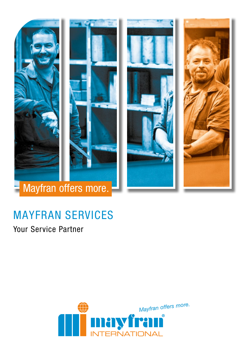



# MAYFRAN SERVICES

Your Service Partner

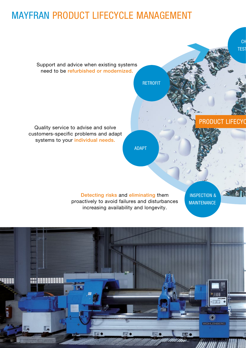## MAYFRAN PRODUCT LIFECYCLE MANAGEMENT



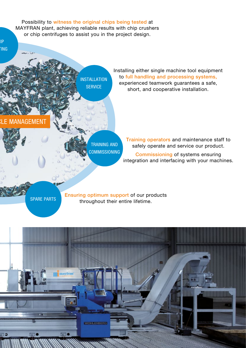Possibility to witness the original chips being tested at MAYFRAN plant, achieving reliable results with chip crushers or chip centrifuges to assist you in the project design.

CHIP **TING** 

> INSTALLATION **SERVICE**

Installing either single machine tool equipment to full handling and processing systems, experienced teamwork guarantees a safe, short, and cooperative installation.

### **ANAGEMENT**

TRAINING AND **COMMISSIONING**  Training operators and maintenance staff to safely operate and service our product.

Commissioning of systems ensuring integration and interfacing with your machines.

SPARE PARTS

Ensuring optimum support of our products throughout their entire lifetime.

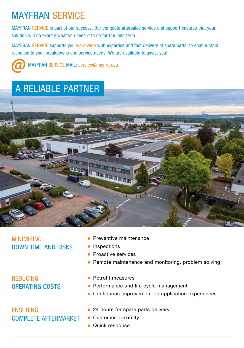## MAYFRAN SERVICE

MAYFRAN SERVICE is part of our success. Our complete aftersales service and support ensures that your solution will do exactly what you need it to do for the long term.

MAYFRAN SERVICE supports you worldwide with expertise and fast delivery of spare parts, to enable rapid response to your breakdowns and service needs. We are available to assist you!



MAYFRAN SERVICE MAIL: service@mayfran.eu

## A RELIABLE PARTNER



### MINIMIZING DOWN TIME AND RISKS

REDUCING OPERATING COSTS

## ENSURING COMPLETE AFTERMARKET

- **Preventive maintenance**
- **•** Inspections
- Proactive services
- Remote maintenance and monitoring, problem solving
- Retrofit measures
- **Performance and life cycle management**
- Continuous improvement on application experiences
- 24 hours for spare parts delivery
- Customer proximity
- **Quick response**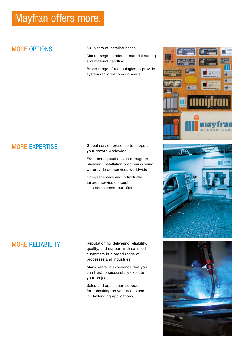## Mayfran offers more.

## MORE OPTIONS

50+ years of installed bases

Market segmentation in material cutting and material handling

Broad range of technologies to provide systems tailored to your needs







Global service presence to support your growth worldwide

From conceptual design through to planning, installation & commissioning, we provide our services worldwide

Comprehensive and individually tailored service concepts also complement our offers

## MORE RELIABILITY

Reputation for delivering reliability, quality, and support with satisfied customers in a broad range of processes and industries

Many years of experience that you can trust to successfully execute your project

Sales and application support for consulting on your needs and in challenging applications